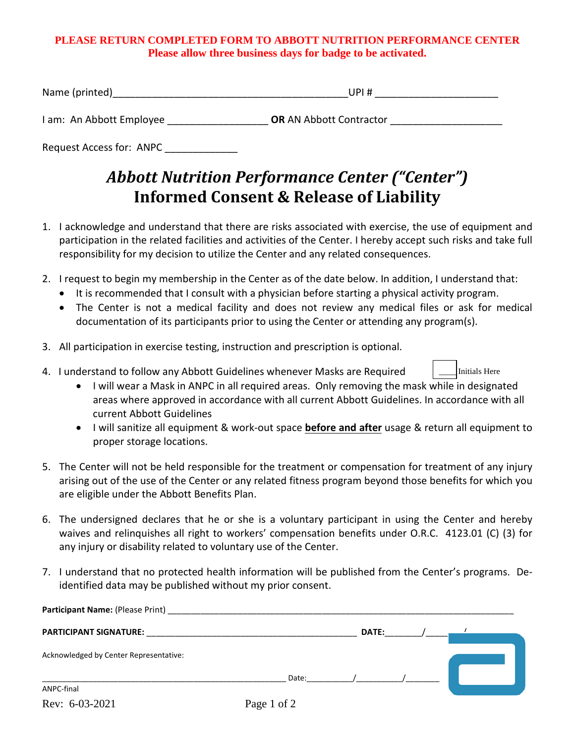## **PLEASE RETURN COMPLETED FORM TO ABBOTT NUTRITION PERFORMANCE CENTER Please allow three business days for badge to be activated.**

| Name  |  |
|-------|--|
| . J P |  |
|       |  |

I am: An Abbott Employee **DR** AN Abbott Contractor

Request Access for: ANPC

# *Abbott Nutrition Performance Center ("Center")* **Informed Consent & Release of Liability**

- 1. I acknowledge and understand that there are risks associated with exercise, the use of equipment and participation in the related facilities and activities of the Center. I hereby accept such risks and take full responsibility for my decision to utilize the Center and any related consequences.
- 2. I request to begin my membership in the Center as of the date below. In addition, I understand that:
	- It is recommended that I consult with a physician before starting a physical activity program.
	- The Center is not a medical facility and does not review any medical files or ask for medical documentation of its participants prior to using the Center or attending any program(s).
- 3. All participation in exercise testing, instruction and prescription is optional.
- 4. I understand to follow any Abbott Guidelines whenever Masks are Required
	- I will wear a Mask in ANPC in all required areas. Only removing the mask while in designated areas where approved in accordance with all current Abbott Guidelines. In accordance with all current Abbott Guidelines

Initials Here

- I will sanitize all equipment & work-out space **before and after** usage & return all equipment to proper storage locations.
- 5. The Center will not be held responsible for the treatment or compensation for treatment of any injury arising out of the use of the Center or any related fitness program beyond those benefits for which you are eligible under the Abbott Benefits Plan.
- 6. The undersigned declares that he or she is a voluntary participant in using the Center and hereby waives and relinquishes all right to workers' compensation benefits under O.R.C. 4123.01 (C) (3) for any injury or disability related to voluntary use of the Center.
- 7. I understand that no protected health information will be published from the Center's programs. Deidentified data may be published without my prior consent.

| Participant Name: (Please Print)       |       |              |  |
|----------------------------------------|-------|--------------|--|
| <b>PARTICIPANT SIGNATURE:</b>          |       | <b>DATE:</b> |  |
| Acknowledged by Center Representative: |       |              |  |
|                                        | Date: |              |  |
| ANPC-final                             |       |              |  |